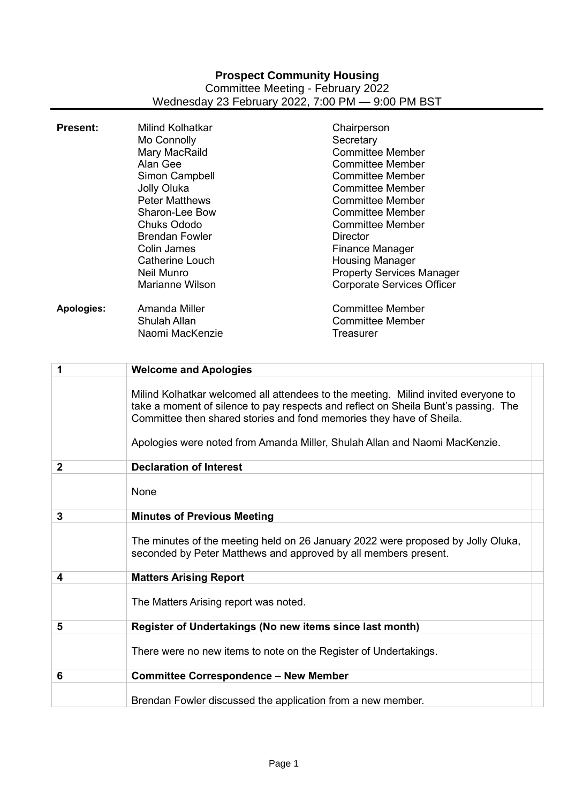## **Prospect Community Housing** Committee Meeting - February 2022 Wednesday 23 February 2022, 7:00 PM — 9:00 PM BST

| <b>Present:</b>   | <b>Milind Kolhatkar</b><br>Mo Connolly<br>Mary MacRaild<br>Alan Gee<br>Simon Campbell<br>Jolly Oluka<br><b>Peter Matthews</b><br>Sharon-Lee Bow<br><b>Chuks Ododo</b><br><b>Brendan Fowler</b><br><b>Colin James</b><br><b>Catherine Louch</b><br><b>Neil Munro</b><br><b>Marianne Wilson</b>                                  | Chairperson<br>Secretary<br><b>Committee Member</b><br><b>Committee Member</b><br><b>Committee Member</b><br><b>Committee Member</b><br><b>Committee Member</b><br><b>Committee Member</b><br><b>Committee Member</b><br><b>Director</b><br><b>Finance Manager</b><br><b>Housing Manager</b><br><b>Property Services Manager</b><br><b>Corporate Services Officer</b> |
|-------------------|--------------------------------------------------------------------------------------------------------------------------------------------------------------------------------------------------------------------------------------------------------------------------------------------------------------------------------|-----------------------------------------------------------------------------------------------------------------------------------------------------------------------------------------------------------------------------------------------------------------------------------------------------------------------------------------------------------------------|
| <b>Apologies:</b> | Amanda Miller<br><b>Shulah Allan</b><br>Naomi MacKenzie                                                                                                                                                                                                                                                                        | <b>Committee Member</b><br><b>Committee Member</b><br><b>Treasurer</b>                                                                                                                                                                                                                                                                                                |
| 1                 | <b>Welcome and Apologies</b>                                                                                                                                                                                                                                                                                                   |                                                                                                                                                                                                                                                                                                                                                                       |
|                   | Milind Kolhatkar welcomed all attendees to the meeting. Milind invited everyone to<br>take a moment of silence to pay respects and reflect on Sheila Bunt's passing. The<br>Committee then shared stories and fond memories they have of Sheila.<br>Apologies were noted from Amanda Miller, Shulah Allan and Naomi MacKenzie. |                                                                                                                                                                                                                                                                                                                                                                       |
| $\mathbf 2$       | <b>Declaration of Interest</b>                                                                                                                                                                                                                                                                                                 |                                                                                                                                                                                                                                                                                                                                                                       |
|                   | None                                                                                                                                                                                                                                                                                                                           |                                                                                                                                                                                                                                                                                                                                                                       |
| 3                 | <b>Minutes of Previous Meeting</b>                                                                                                                                                                                                                                                                                             |                                                                                                                                                                                                                                                                                                                                                                       |
|                   | The minutes of the meeting held on 26 January 2022 were proposed by Jolly Oluka,<br>seconded by Peter Matthews and approved by all members present.                                                                                                                                                                            |                                                                                                                                                                                                                                                                                                                                                                       |
| 4                 | <b>Matters Arising Report</b>                                                                                                                                                                                                                                                                                                  |                                                                                                                                                                                                                                                                                                                                                                       |
|                   | The Matters Arising report was noted.                                                                                                                                                                                                                                                                                          |                                                                                                                                                                                                                                                                                                                                                                       |
| 5                 | Register of Undertakings (No new items since last month)                                                                                                                                                                                                                                                                       |                                                                                                                                                                                                                                                                                                                                                                       |
|                   | There were no new items to note on the Register of Undertakings.                                                                                                                                                                                                                                                               |                                                                                                                                                                                                                                                                                                                                                                       |
| 6                 | <b>Committee Correspondence - New Member</b>                                                                                                                                                                                                                                                                                   |                                                                                                                                                                                                                                                                                                                                                                       |
|                   | Brendan Fowler discussed the application from a new member.                                                                                                                                                                                                                                                                    |                                                                                                                                                                                                                                                                                                                                                                       |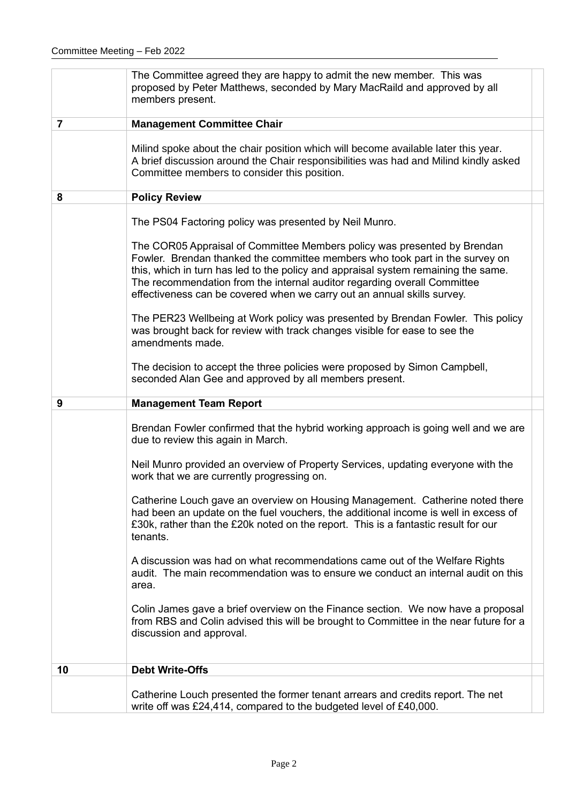|                | The Committee agreed they are happy to admit the new member. This was<br>proposed by Peter Matthews, seconded by Mary MacRaild and approved by all<br>members present.                                                                                                                                                                                                                                                                                                                                                                                                                                                                                                                                                                                                                       |
|----------------|----------------------------------------------------------------------------------------------------------------------------------------------------------------------------------------------------------------------------------------------------------------------------------------------------------------------------------------------------------------------------------------------------------------------------------------------------------------------------------------------------------------------------------------------------------------------------------------------------------------------------------------------------------------------------------------------------------------------------------------------------------------------------------------------|
| $\overline{7}$ | <b>Management Committee Chair</b>                                                                                                                                                                                                                                                                                                                                                                                                                                                                                                                                                                                                                                                                                                                                                            |
|                | Milind spoke about the chair position which will become available later this year.<br>A brief discussion around the Chair responsibilities was had and Milind kindly asked<br>Committee members to consider this position.                                                                                                                                                                                                                                                                                                                                                                                                                                                                                                                                                                   |
| 8              | <b>Policy Review</b>                                                                                                                                                                                                                                                                                                                                                                                                                                                                                                                                                                                                                                                                                                                                                                         |
|                | The PS04 Factoring policy was presented by Neil Munro.<br>The COR05 Appraisal of Committee Members policy was presented by Brendan<br>Fowler. Brendan thanked the committee members who took part in the survey on<br>this, which in turn has led to the policy and appraisal system remaining the same.<br>The recommendation from the internal auditor regarding overall Committee<br>effectiveness can be covered when we carry out an annual skills survey.<br>The PER23 Wellbeing at Work policy was presented by Brendan Fowler. This policy<br>was brought back for review with track changes visible for ease to see the<br>amendments made.<br>The decision to accept the three policies were proposed by Simon Campbell,<br>seconded Alan Gee and approved by all members present. |
|                |                                                                                                                                                                                                                                                                                                                                                                                                                                                                                                                                                                                                                                                                                                                                                                                              |
| 9              | <b>Management Team Report</b>                                                                                                                                                                                                                                                                                                                                                                                                                                                                                                                                                                                                                                                                                                                                                                |
|                |                                                                                                                                                                                                                                                                                                                                                                                                                                                                                                                                                                                                                                                                                                                                                                                              |
|                | Brendan Fowler confirmed that the hybrid working approach is going well and we are<br>due to review this again in March.<br>Neil Munro provided an overview of Property Services, updating everyone with the<br>work that we are currently progressing on.                                                                                                                                                                                                                                                                                                                                                                                                                                                                                                                                   |
|                | Catherine Louch gave an overview on Housing Management. Catherine noted there<br>had been an update on the fuel vouchers, the additional income is well in excess of<br>£30k, rather than the £20k noted on the report. This is a fantastic result for our<br>tenants.                                                                                                                                                                                                                                                                                                                                                                                                                                                                                                                       |
|                | A discussion was had on what recommendations came out of the Welfare Rights<br>audit. The main recommendation was to ensure we conduct an internal audit on this<br>area.                                                                                                                                                                                                                                                                                                                                                                                                                                                                                                                                                                                                                    |
|                | Colin James gave a brief overview on the Finance section. We now have a proposal<br>from RBS and Colin advised this will be brought to Committee in the near future for a<br>discussion and approval.                                                                                                                                                                                                                                                                                                                                                                                                                                                                                                                                                                                        |
| 10             | <b>Debt Write-Offs</b>                                                                                                                                                                                                                                                                                                                                                                                                                                                                                                                                                                                                                                                                                                                                                                       |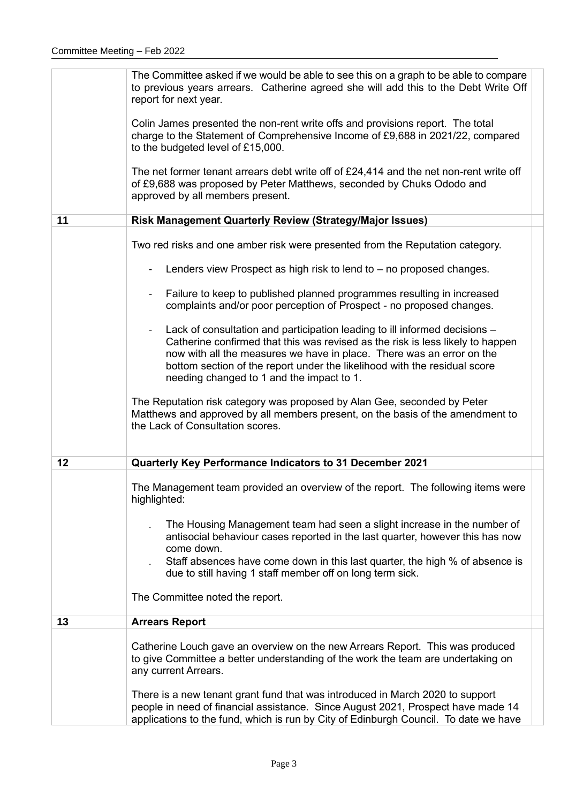|    | The Committee asked if we would be able to see this on a graph to be able to compare<br>to previous years arrears. Catherine agreed she will add this to the Debt Write Off<br>report for next year.                                                                                                                                                                              |
|----|-----------------------------------------------------------------------------------------------------------------------------------------------------------------------------------------------------------------------------------------------------------------------------------------------------------------------------------------------------------------------------------|
|    | Colin James presented the non-rent write offs and provisions report. The total<br>charge to the Statement of Comprehensive Income of £9,688 in 2021/22, compared<br>to the budgeted level of £15,000.                                                                                                                                                                             |
|    | The net former tenant arrears debt write off of $£24,414$ and the net non-rent write off<br>of £9,688 was proposed by Peter Matthews, seconded by Chuks Ododo and<br>approved by all members present.                                                                                                                                                                             |
| 11 | Risk Management Quarterly Review (Strategy/Major Issues)                                                                                                                                                                                                                                                                                                                          |
|    | Two red risks and one amber risk were presented from the Reputation category.                                                                                                                                                                                                                                                                                                     |
|    | Lenders view Prospect as high risk to lend to – no proposed changes.                                                                                                                                                                                                                                                                                                              |
|    | Failure to keep to published planned programmes resulting in increased<br>complaints and/or poor perception of Prospect - no proposed changes.                                                                                                                                                                                                                                    |
|    | Lack of consultation and participation leading to ill informed decisions -<br>$\blacksquare$<br>Catherine confirmed that this was revised as the risk is less likely to happen<br>now with all the measures we have in place. There was an error on the<br>bottom section of the report under the likelihood with the residual score<br>needing changed to 1 and the impact to 1. |
|    | The Reputation risk category was proposed by Alan Gee, seconded by Peter<br>Matthews and approved by all members present, on the basis of the amendment to<br>the Lack of Consultation scores.                                                                                                                                                                                    |
| 12 | Quarterly Key Performance Indicators to 31 December 2021                                                                                                                                                                                                                                                                                                                          |
|    | The Management team provided an overview of the report. The following items were<br>highlighted:                                                                                                                                                                                                                                                                                  |
|    | The Housing Management team had seen a slight increase in the number of<br>antisocial behaviour cases reported in the last quarter, however this has now<br>come down.<br>Staff absences have come down in this last quarter, the high % of absence is                                                                                                                            |
|    | due to still having 1 staff member off on long term sick.                                                                                                                                                                                                                                                                                                                         |
|    | The Committee noted the report.                                                                                                                                                                                                                                                                                                                                                   |
| 13 | <b>Arrears Report</b>                                                                                                                                                                                                                                                                                                                                                             |
|    | Catherine Louch gave an overview on the new Arrears Report. This was produced<br>to give Committee a better understanding of the work the team are undertaking on<br>any current Arrears.                                                                                                                                                                                         |
|    | There is a new tenant grant fund that was introduced in March 2020 to support<br>people in need of financial assistance. Since August 2021, Prospect have made 14<br>applications to the fund, which is run by City of Edinburgh Council. To date we have                                                                                                                         |